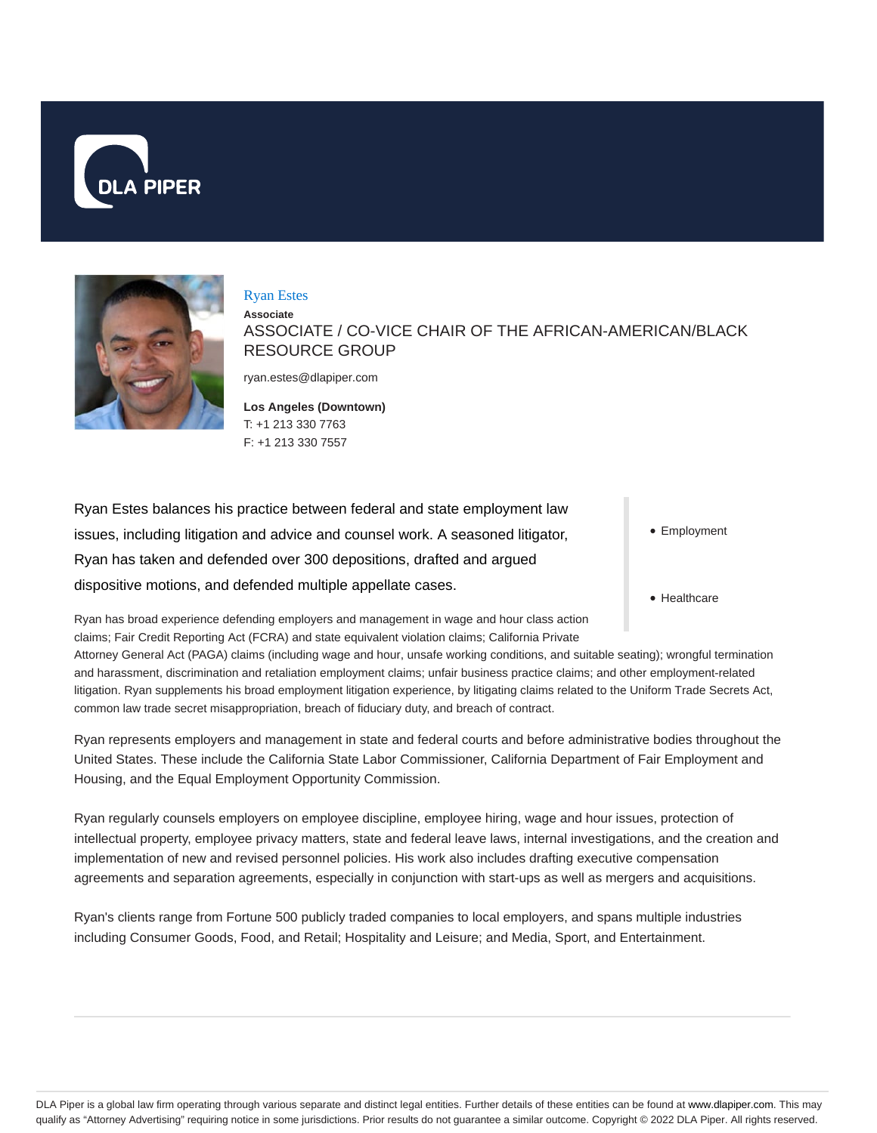



#### Ryan Estes

**Associate** ASSOCIATE / CO-VICE CHAIR OF THE AFRICAN-AMERICAN/BLACK RESOURCE GROUP

ryan.estes@dlapiper.com

#### **Los Angeles (Downtown)** T: +1 213 330 7763 F: +1 213 330 7557

Ryan Estes balances his practice between federal and state employment law issues, including litigation and advice and counsel work. A seasoned litigator, Ryan has taken and defended over 300 depositions, drafted and argued dispositive motions, and defended multiple appellate cases.

• Employment

• Healthcare

Ryan has broad experience defending employers and management in wage and hour class action claims; Fair Credit Reporting Act (FCRA) and state equivalent violation claims; California Private

Attorney General Act (PAGA) claims (including wage and hour, unsafe working conditions, and suitable seating); wrongful termination and harassment, discrimination and retaliation employment claims; unfair business practice claims; and other employment-related litigation. Ryan supplements his broad employment litigation experience, by litigating claims related to the Uniform Trade Secrets Act, common law trade secret misappropriation, breach of fiduciary duty, and breach of contract.

Ryan represents employers and management in state and federal courts and before administrative bodies throughout the United States. These include the California State Labor Commissioner, California Department of Fair Employment and Housing, and the Equal Employment Opportunity Commission.

Ryan regularly counsels employers on employee discipline, employee hiring, wage and hour issues, protection of intellectual property, employee privacy matters, state and federal leave laws, internal investigations, and the creation and implementation of new and revised personnel policies. His work also includes drafting executive compensation agreements and separation agreements, especially in conjunction with start-ups as well as mergers and acquisitions.

Ryan's clients range from Fortune 500 publicly traded companies to local employers, and spans multiple industries including Consumer Goods, Food, and Retail; Hospitality and Leisure; and Media, Sport, and Entertainment.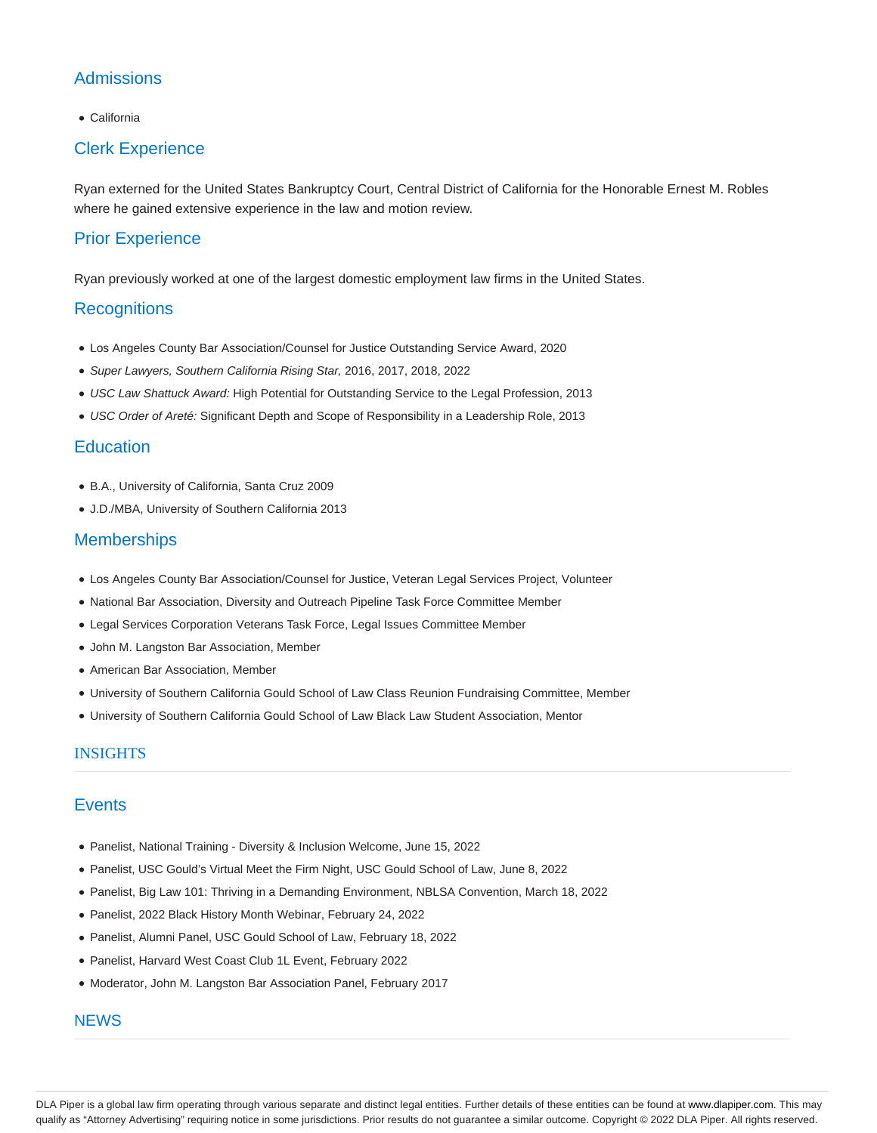# **Admissions**

California

## Clerk Experience

Ryan externed for the United States Bankruptcy Court, Central District of California for the Honorable Ernest M. Robles where he gained extensive experience in the law and motion review.

## Prior Experience

Ryan previously worked at one of the largest domestic employment law firms in the United States.

#### **Recognitions**

- Los Angeles County Bar Association/Counsel for Justice Outstanding Service Award, 2020
- Super Lawyers, Southern California Rising Star, 2016, 2017, 2018, 2022
- USC Law Shattuck Award: High Potential for Outstanding Service to the Legal Profession, 2013
- USC Order of Areté: Significant Depth and Scope of Responsibility in a Leadership Role, 2013

### **Education**

- B.A., University of California, Santa Cruz 2009
- J.D./MBA, University of Southern California 2013

### **Memberships**

- Los Angeles County Bar Association/Counsel for Justice, Veteran Legal Services Project, Volunteer
- National Bar Association, Diversity and Outreach Pipeline Task Force Committee Member
- Legal Services Corporation Veterans Task Force, Legal Issues Committee Member
- John M. Langston Bar Association, Member
- American Bar Association, Member
- University of Southern California Gould School of Law Class Reunion Fundraising Committee, Member
- University of Southern California Gould School of Law Black Law Student Association, Mentor

#### INSIGHTS

### **Events**

- Panelist, National Training Diversity & Inclusion Welcome, June 15, 2022
- Panelist, USC Gould's Virtual Meet the Firm Night, USC Gould School of Law, June 8, 2022
- Panelist, Big Law 101: Thriving in a Demanding Environment, NBLSA Convention, March 18, 2022
- Panelist, 2022 Black History Month Webinar, February 24, 2022
- Panelist, Alumni Panel, USC Gould School of Law, February 18, 2022
- Panelist, Harvard West Coast Club 1L Event, February 2022
- Moderator, John M. Langston Bar Association Panel, February 2017

#### **NEWS**

DLA Piper is a global law firm operating through various separate and distinct legal entities. Further details of these entities can be found at www.dlapiper.com. This may qualify as "Attorney Advertising" requiring notice in some jurisdictions. Prior results do not guarantee a similar outcome. Copyright © 2022 DLA Piper. All rights reserved.